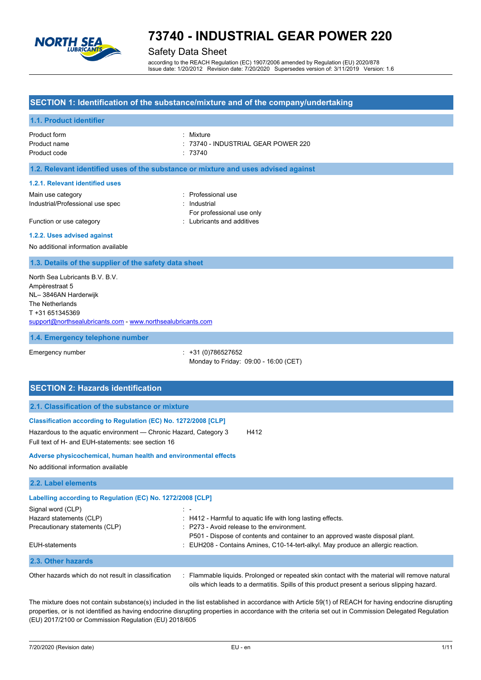

## Safety Data Sheet

according to the REACH Regulation (EC) 1907/2006 amended by Regulation (EU) 2020/878 Issue date: 1/20/2012 Revision date: 7/20/2020 Supersedes version of: 3/11/2019 Version: 1.6

## **SECTION 1: Identification of the substance/mixture and of the company/undertaking**

### **1.1. Product identifier**

| Product form | : Mixture                           |
|--------------|-------------------------------------|
| Product name | : 73740 - INDUSTRIAL GEAR POWER 220 |
| Product code | :73740                              |

### **1.2. Relevant identified uses of the substance or mixture and uses advised against**

#### **1.2.1. Relevant identified uses**

Main use category **in the set of the COV** and Main use the Professional use Industrial/Professional use spec : Industrial

For professional use only Function or use category **Example 20** Function or use category **and all the set of the CLU** brigants and additives

#### **1.2.2. Uses advised against**

No additional information available

#### **1.3. Details of the supplier of the safety data sheet**

North Sea Lubricants B.V. B.V. Ampèrestraat 5 NL– 3846AN Harderwijk The Netherlands T +31 651345369 [support@northsealubricants.com](mailto:support@northsealubricants.com) - [www.northsealubricants.com](http://www.northsealubricants.com/)

#### **1.4. Emergency telephone number**

Emergency number : +31 (0)786527652 Monday to Friday: 09:00 - 16:00 (CET)

## **SECTION 2: Hazards identification 2.1. Classification of the substance or mixture Classification according to Regulation (EC) No. 1272/2008 [CLP]** Hazardous to the aquatic environment — Chronic Hazard, Category 3 H412 Full text of H- and EUH-statements: see section 16 **Adverse physicochemical, human health and environmental effects** No additional information available **2.2. Label elements Labelling according to Regulation (EC) No. 1272/2008 [CLP]** Signal word (CLP) : -Hazard statements (CLP) : H412 - Harmful to aquatic life with long lasting effects. Precautionary statements (CLP) : P273 - Avoid release to the environment. P501 - Dispose of contents and container to an approved waste disposal plant. EUH-statements : EUH208 - Contains Amines, C10-14-tert-alkyl. May produce an allergic reaction. **2.3. Other hazards** Other hazards which do not result in classification : Flammable liquids. Prolonged or repeated skin contact with the material will remove natural

oils which leads to a dermatitis. Spills of this product present a serious slipping hazard.

The mixture does not contain substance(s) included in the list established in accordance with Article 59(1) of REACH for having endocrine disrupting properties, or is not identified as having endocrine disrupting properties in accordance with the criteria set out in Commission Delegated Regulation

(EU) 2017/2100 or Commission Regulation (EU) 2018/605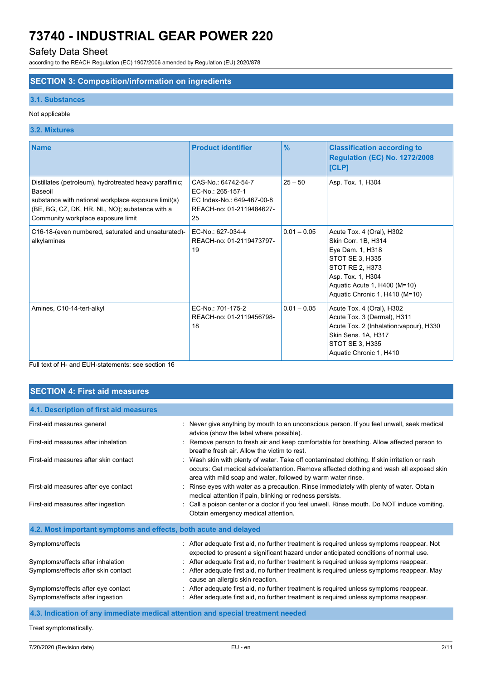## Safety Data Sheet

according to the REACH Regulation (EC) 1907/2006 amended by Regulation (EU) 2020/878

## **SECTION 3: Composition/information on ingredients**

#### **3.1. Substances**

### Not applicable

### **3.2. Mixtures**

| <b>Name</b>                                                                                                                                                                                                       | <b>Product identifier</b>                                                                                | $\frac{9}{6}$ | <b>Classification according to</b><br><b>Regulation (EC) No. 1272/2008</b><br>[CLP]                                                                                                               |
|-------------------------------------------------------------------------------------------------------------------------------------------------------------------------------------------------------------------|----------------------------------------------------------------------------------------------------------|---------------|---------------------------------------------------------------------------------------------------------------------------------------------------------------------------------------------------|
| Distillates (petroleum), hydrotreated heavy paraffinic;<br>Baseoil<br>substance with national workplace exposure limit(s)<br>(BE, BG, CZ, DK, HR, NL, NO); substance with a<br>Community workplace exposure limit | CAS-No.: 64742-54-7<br>EC-No.: 265-157-1<br>EC Index-No.: 649-467-00-8<br>REACH-no: 01-2119484627-<br>25 | $25 - 50$     | Asp. Tox. 1, H304                                                                                                                                                                                 |
| C16-18-(even numbered, saturated and unsaturated)-<br>alkylamines                                                                                                                                                 | EC-No.: 627-034-4<br>REACH-no: 01-2119473797-<br>19                                                      | $0.01 - 0.05$ | Acute Tox. 4 (Oral), H302<br>Skin Corr. 1B, H314<br>Eye Dam. 1, H318<br>STOT SE 3, H335<br>STOT RE 2, H373<br>Asp. Tox. 1, H304<br>Aquatic Acute 1, H400 (M=10)<br>Aquatic Chronic 1, H410 (M=10) |
| Amines, C10-14-tert-alkyl                                                                                                                                                                                         | EC-No.: 701-175-2<br>REACH-no: 01-2119456798-<br>18                                                      | $0.01 - 0.05$ | Acute Tox. 4 (Oral), H302<br>Acute Tox. 3 (Dermal), H311<br>Acute Tox. 2 (Inhalation: vapour), H330<br>Skin Sens. 1A, H317<br>STOT SE 3, H335<br>Aquatic Chronic 1, H410                          |

Full text of H- and EUH-statements: see section 16

## **SECTION 4: First aid measures**

| 4.1. Description of first aid measures                           |                                                                                                                                                                                                                                                          |
|------------------------------------------------------------------|----------------------------------------------------------------------------------------------------------------------------------------------------------------------------------------------------------------------------------------------------------|
| First-aid measures general                                       | : Never give anything by mouth to an unconscious person. If you feel unwell, seek medical<br>advice (show the label where possible).                                                                                                                     |
| First-aid measures after inhalation                              | Remove person to fresh air and keep comfortable for breathing. Allow affected person to<br>breathe fresh air. Allow the victim to rest.                                                                                                                  |
| First-aid measures after skin contact                            | : Wash skin with plenty of water. Take off contaminated clothing. If skin irritation or rash<br>occurs: Get medical advice/attention. Remove affected clothing and wash all exposed skin<br>area with mild soap and water, followed by warm water rinse. |
| First-aid measures after eye contact                             | Rinse eyes with water as a precaution. Rinse immediately with plenty of water. Obtain<br>medical attention if pain, blinking or redness persists.                                                                                                        |
| First-aid measures after ingestion                               | Call a poison center or a doctor if you feel unwell. Rinse mouth. Do NOT induce vomiting.<br>Obtain emergency medical attention.                                                                                                                         |
| 4.2. Most important symptoms and effects, both acute and delayed |                                                                                                                                                                                                                                                          |
| Symptoms/effects                                                 | After adequate first aid, no further treatment is required unless symptoms reappear. Not<br>expected to present a significant hazard under anticipated conditions of normal use.                                                                         |
| Symptoms/effects after inhalation                                | After adequate first aid, no further treatment is required unless symptoms reappear.                                                                                                                                                                     |
| Symptoms/effects after skin contact                              | After adequate first aid, no further treatment is required unless symptoms reappear. May<br>cause an allergic skin reaction.                                                                                                                             |
| Symptoms/effects after eye contact                               | After adequate first aid, no further treatment is required unless symptoms reappear.                                                                                                                                                                     |
| Symptoms/effects after ingestion                                 | After adequate first aid, no further treatment is required unless symptoms reappear.                                                                                                                                                                     |

## **4.3. Indication of any immediate medical attention and special treatment needed**

Treat symptomatically.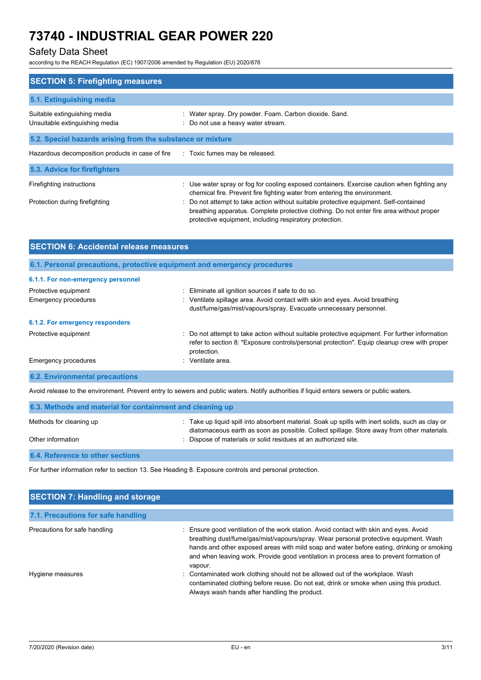## Safety Data Sheet

according to the REACH Regulation (EC) 1907/2006 amended by Regulation (EU) 2020/878

| : Use water spray or fog for cooling exposed containers. Exercise caution when fighting any<br>breathing apparatus. Complete protective clothing. Do not enter fire area without proper |
|-----------------------------------------------------------------------------------------------------------------------------------------------------------------------------------------|
|                                                                                                                                                                                         |

| <b>SECTION 6: Accidental release measures</b> |                                                                                                                                                                                                              |  |  |
|-----------------------------------------------|--------------------------------------------------------------------------------------------------------------------------------------------------------------------------------------------------------------|--|--|
|                                               | 6.1. Personal precautions, protective equipment and emergency procedures                                                                                                                                     |  |  |
| 6.1.1. For non-emergency personnel            |                                                                                                                                                                                                              |  |  |
| Protective equipment                          | : Eliminate all ignition sources if safe to do so.                                                                                                                                                           |  |  |
| <b>Emergency procedures</b>                   | : Ventilate spillage area. Avoid contact with skin and eyes. Avoid breathing                                                                                                                                 |  |  |
|                                               | dust/fume/gas/mist/vapours/spray. Evacuate unnecessary personnel.                                                                                                                                            |  |  |
| 6.1.2. For emergency responders               |                                                                                                                                                                                                              |  |  |
| Protective equipment                          | : Do not attempt to take action without suitable protective equipment. For further information<br>refer to section 8: "Exposure controls/personal protection". Equip cleanup crew with proper<br>protection. |  |  |
| <b>Emergency procedures</b>                   | Ventilate area.<br>٠.                                                                                                                                                                                        |  |  |
| <b>6.2. Environmental precautions</b>         |                                                                                                                                                                                                              |  |  |

Avoid release to the environment. Prevent entry to sewers and public waters. Notify authorities if liquid enters sewers or public waters.

| 6.3. Methods and material for containment and cleaning up |                                                                                                                                                                                                 |  |  |  |
|-----------------------------------------------------------|-------------------------------------------------------------------------------------------------------------------------------------------------------------------------------------------------|--|--|--|
| Methods for cleaning up                                   | : Take up liquid spill into absorbent material. Soak up spills with inert solids, such as clay or<br>diatomaceous earth as soon as possible. Collect spillage. Store away from other materials. |  |  |  |
| Other information                                         | : Dispose of materials or solid residues at an authorized site.                                                                                                                                 |  |  |  |
| 6.4. Reference to other sections                          |                                                                                                                                                                                                 |  |  |  |

For further information refer to section 13. See Heading 8. Exposure controls and personal protection.

| <b>SECTION 7: Handling and storage</b> |                                                                                                                                                                                                                                                                                                                                                                                   |  |  |  |  |
|----------------------------------------|-----------------------------------------------------------------------------------------------------------------------------------------------------------------------------------------------------------------------------------------------------------------------------------------------------------------------------------------------------------------------------------|--|--|--|--|
| 7.1. Precautions for safe handling     |                                                                                                                                                                                                                                                                                                                                                                                   |  |  |  |  |
| Precautions for safe handling          | : Ensure good ventilation of the work station. Avoid contact with skin and eyes. Avoid<br>breathing dust/fume/gas/mist/vapours/spray. Wear personal protective equipment. Wash<br>hands and other exposed areas with mild soap and water before eating, drinking or smoking<br>and when leaving work. Provide good ventilation in process area to prevent formation of<br>vapour. |  |  |  |  |
| Hygiene measures                       | : Contaminated work clothing should not be allowed out of the workplace. Wash<br>contaminated clothing before reuse. Do not eat, drink or smoke when using this product.<br>Always wash hands after handling the product.                                                                                                                                                         |  |  |  |  |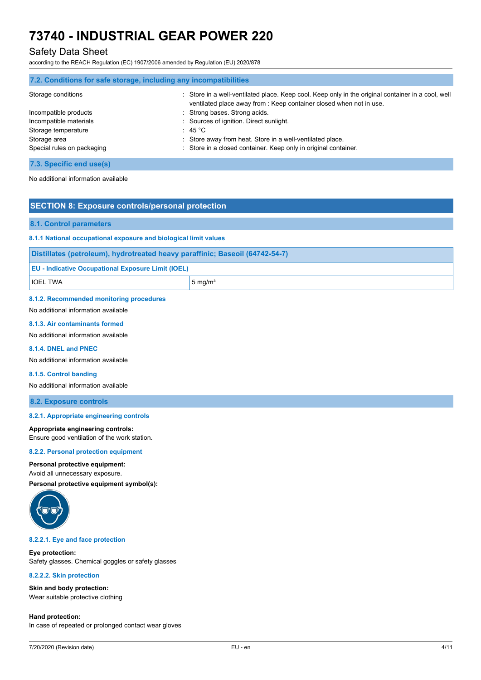## Safety Data Sheet

according to the REACH Regulation (EC) 1907/2006 amended by Regulation (EU) 2020/878

|                            | 7.2. Conditions for safe storage, including any incompatibilities                                                                                                         |
|----------------------------|---------------------------------------------------------------------------------------------------------------------------------------------------------------------------|
| Storage conditions         | : Store in a well-ventilated place. Keep cool. Keep only in the original container in a cool, well<br>ventilated place away from : Keep container closed when not in use. |
| Incompatible products      | : Strong bases. Strong acids.                                                                                                                                             |
| Incompatible materials     | : Sources of ignition. Direct sunlight.                                                                                                                                   |
| Storage temperature        | $\div$ 45 °C $\overline{C}$                                                                                                                                               |
| Storage area               | : Store away from heat. Store in a well-ventilated place.                                                                                                                 |
| Special rules on packaging | : Store in a closed container. Keep only in original container.                                                                                                           |

## **7.3. Specific end use(s)**

No additional information available

## **SECTION 8: Exposure controls/personal protection**

#### **8.1. Control parameters**

#### **8.1.1 National occupational exposure and biological limit values**

|  |  |  | Distillates (petroleum), hydrotreated heavy paraffinic; Baseoil (64742-54-7) |  |  |  |
|--|--|--|------------------------------------------------------------------------------|--|--|--|
|--|--|--|------------------------------------------------------------------------------|--|--|--|

| <b>EU - Indicative Occupational Exposure Limit (IOEL)</b> |  |  |
|-----------------------------------------------------------|--|--|
|                                                           |  |  |

|  | IOEL TWA |  |  |
|--|----------|--|--|
|  |          |  |  |

 $5 \text{ mg/m}^3$ 

#### **8.1.2. Recommended monitoring procedures**

### No additional information available

#### **8.1.3. Air contaminants formed**

No additional information available

### **8.1.4. DNEL and PNEC**

No additional information available

#### **8.1.5. Control banding**

No additional information available

**8.2. Exposure controls**

#### **8.2.1. Appropriate engineering controls**

#### **Appropriate engineering controls:**

Ensure good ventilation of the work station.

#### **8.2.2. Personal protection equipment**

#### **Personal protective equipment:**

Avoid all unnecessary exposure.

**Personal protective equipment symbol(s):**



#### **8.2.2.1. Eye and face protection**

#### **Eye protection:**

Safety glasses. Chemical goggles or safety glasses

#### **8.2.2.2. Skin protection**

**Skin and body protection:** Wear suitable protective clothing

**Hand protection:** In case of repeated or prolonged contact wear gloves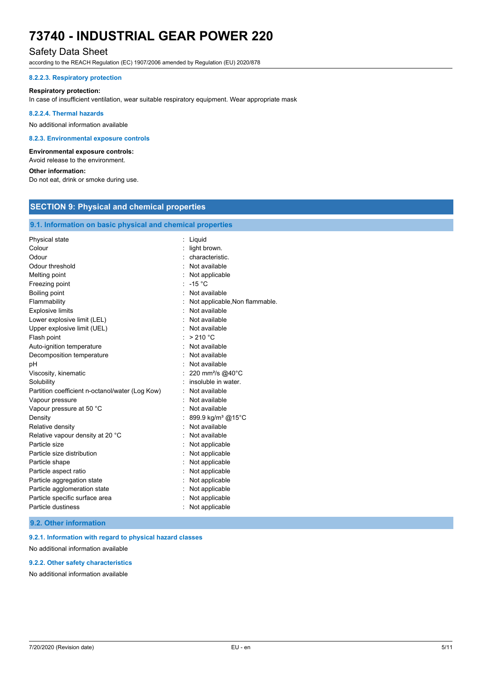## Safety Data Sheet

according to the REACH Regulation (EC) 1907/2006 amended by Regulation (EU) 2020/878

#### **8.2.2.3. Respiratory protection**

#### **Respiratory protection:**

In case of insufficient ventilation, wear suitable respiratory equipment. Wear appropriate mask

#### **8.2.2.4. Thermal hazards**

No additional information available

#### **8.2.3. Environmental exposure controls**

#### **Environmental exposure controls:**

Avoid release to the environment.

## **Other information:**

Do not eat, drink or smoke during use.

## **SECTION 9: Physical and chemical properties**

## **9.1. Information on basic physical and chemical properties**

| Physical state                                  | Liquid                         |
|-------------------------------------------------|--------------------------------|
| Colour                                          | light brown.                   |
| Odour                                           | characteristic.                |
| Odour threshold                                 | Not available                  |
| Melting point                                   | Not applicable                 |
| Freezing point                                  | $-15 °C$                       |
| Boiling point                                   | Not available                  |
| Flammability                                    | Not applicable. Non flammable. |
| <b>Explosive limits</b>                         | : Not available                |
| Lower explosive limit (LEL)                     | Not available                  |
| Upper explosive limit (UEL)                     | : Not available                |
| Flash point                                     | : $>210^{\circ}$ C             |
| Auto-ignition temperature                       | Not available                  |
| Decomposition temperature                       | Not available                  |
| pH                                              | Not available                  |
| Viscosity, kinematic                            | 220 mm <sup>2</sup> /s @40°C   |
| Solubility                                      | insoluble in water.            |
| Partition coefficient n-octanol/water (Log Kow) | Not available                  |
| Vapour pressure                                 | Not available                  |
| Vapour pressure at 50 °C                        | Not available                  |
| Density                                         | 899.9 kg/m <sup>3</sup> @15°C  |
| Relative density                                | Not available                  |
| Relative vapour density at 20 °C                | Not available                  |
| Particle size                                   | Not applicable                 |
| Particle size distribution                      | Not applicable                 |
| Particle shape                                  | Not applicable                 |
| Particle aspect ratio                           | Not applicable                 |
| Particle aggregation state                      | Not applicable                 |
| Particle agglomeration state                    | Not applicable                 |
| Particle specific surface area                  | Not applicable                 |
| Particle dustiness                              | Not applicable                 |

#### **9.2. Other information**

**9.2.1. Information with regard to physical hazard classes**

## No additional information available

### **9.2.2. Other safety characteristics**

No additional information available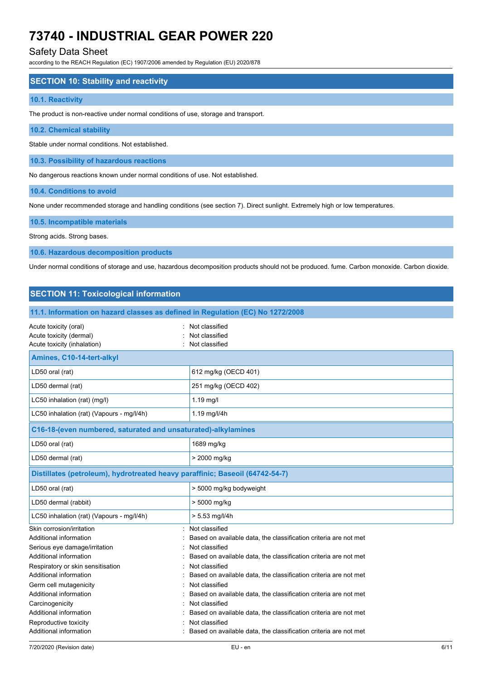## Safety Data Sheet

according to the REACH Regulation (EC) 1907/2006 amended by Regulation (EU) 2020/878

#### **SECTION 10: Stability and reactivity**

#### **10.1. Reactivity**

The product is non-reactive under normal conditions of use, storage and transport.

#### **10.2. Chemical stability**

Stable under normal conditions. Not established.

**10.3. Possibility of hazardous reactions**

No dangerous reactions known under normal conditions of use. Not established.

**10.4. Conditions to avoid**

None under recommended storage and handling conditions (see section 7). Direct sunlight. Extremely high or low temperatures.

#### **10.5. Incompatible materials**

Strong acids. Strong bases.

**10.6. Hazardous decomposition products**

Under normal conditions of storage and use, hazardous decomposition products should not be produced. fume. Carbon monoxide. Carbon dioxide.

## **SECTION 11: Toxicological information 11.1. Information on hazard classes as defined in Regulation (EC) No 1272/2008** Acute toxicity (oral) **Example 20** Acute toxicity (oral) Acute toxicity (dermal)  $\qquad \qquad$ : Not classified Acute toxicity (inhalation) **Example 2** Contract 2 Contract 2 Contract 2 Contract 2 Contract 2 Contract 2 Contract 2 Contract 2 Contract 2 Contract 2 Contract 2 Contract 2 Contract 2 Contract 2 Contract 2 Contract 2 Contra **Amines, C10-14-tert-alkyl** LD50 oral (rat) 612 mg/kg (OECD 401) LD50 dermal (rat) 251 mg/kg (OECD 402) LC50 inhalation (rat) (mg/l) 1.19 mg/l LC50 inhalation (rat) (Vapours - mg/l/4h) | 1.19 mg/l/4h **C16-18-(even numbered, saturated and unsaturated)-alkylamines** LD50 oral (rat) 1689 mg/kg LD50 dermal (rat) > 2000 mg/kg **Distillates (petroleum), hydrotreated heavy paraffinic; Baseoil (64742-54-7)** LD50 oral (rat) > 5000 mg/kg bodyweight LD50 dermal (rabbit) > 5000 mg/kg LC50 inhalation (rat) (Vapours - mg/l/4h)  $\vert$  > 5.53 mg/l/4h Skin corrosion/irritation **in the set of the set of the set of the set of the set of the set of the set of the set of the set of the set of the set of the set of the set of the set of the set of the set of the set of the s** Additional information : Based on available data, the classification criteria are not met Serious eye damage/irritation : Not classified Additional information : Based on available data, the classification criteria are not met Respiratory or skin sensitisation : Not classified Additional information : Based on available data, the classification criteria are not met Germ cell mutagenicity **Second Contract Contract Contract Contract Contract Contract Contract Contract Contract Contract Contract Contract Contract Contract Contract Contract Contract Contract Contract Contract Contract Co** Additional information : Based on available data, the classification criteria are not met Carcinogenicity **Carcinogenicity :** Not classified Additional information **interest on a set on available data**, the classification criteria are not met Reproductive toxicity in the set of the set of the Reproductive toxicity in the set of the set of the set of the set of the set of the set of the set of the set of the set of the set of the set of the set of the set of the Additional information : Based on available data, the classification criteria are not met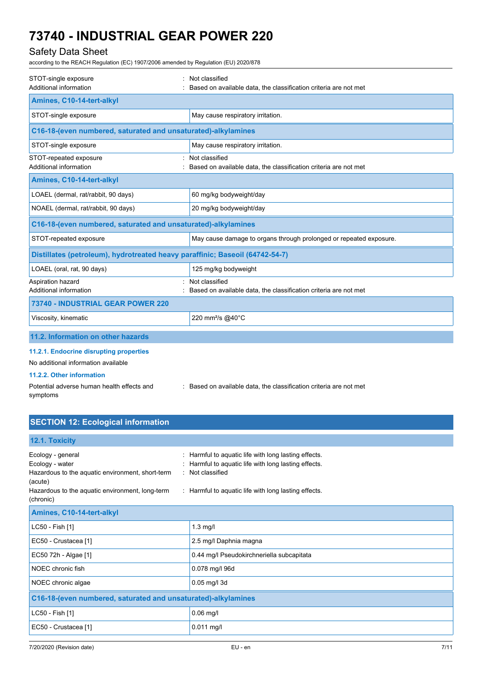## Safety Data Sheet

according to the REACH Regulation (EC) 1907/2006 amended by Regulation (EU) 2020/878

| STOT-single exposure<br>Additional information                               | Not classified<br>Based on available data, the classification criteria are not met |
|------------------------------------------------------------------------------|------------------------------------------------------------------------------------|
| Amines, C10-14-tert-alkyl                                                    |                                                                                    |
| STOT-single exposure                                                         | May cause respiratory irritation.                                                  |
| C16-18-(even numbered, saturated and unsaturated)-alkylamines                |                                                                                    |
| STOT-single exposure                                                         | May cause respiratory irritation.                                                  |
| STOT-repeated exposure<br>Additional information                             | Not classified<br>Based on available data, the classification criteria are not met |
| Amines, C10-14-tert-alkyl                                                    |                                                                                    |
| LOAEL (dermal, rat/rabbit, 90 days)                                          | 60 mg/kg bodyweight/day                                                            |
| NOAEL (dermal, rat/rabbit, 90 days)                                          | 20 mg/kg bodyweight/day                                                            |
| C16-18-(even numbered, saturated and unsaturated)-alkylamines                |                                                                                    |
| STOT-repeated exposure                                                       | May cause damage to organs through prolonged or repeated exposure.                 |
| Distillates (petroleum), hydrotreated heavy paraffinic; Baseoil (64742-54-7) |                                                                                    |
| LOAEL (oral, rat, 90 days)                                                   | 125 mg/kg bodyweight                                                               |
| Aspiration hazard<br>Additional information                                  | Not classified<br>Based on available data, the classification criteria are not met |
| 73740 - INDUSTRIAL GEAR POWER 220                                            |                                                                                    |
| Viscosity, kinematic                                                         | 220 mm <sup>2</sup> /s @40°C                                                       |
| 11.2. Information on other hazards                                           |                                                                                    |
| 11.2.1. Endocrine disrupting properties                                      |                                                                                    |
| No additional information available                                          |                                                                                    |
| 11.2.2. Other information                                                    |                                                                                    |
| Potential adverse human health effects and<br>symptoms                       | : Based on available data, the classification criteria are not met                 |

## **SECTION 12: Ecological information**

## **12.1. Toxicity**

| Ecology - general<br>Ecology - water<br>Hazardous to the aquatic environment, short-term<br>(acute)<br>Hazardous to the aquatic environment, long-term<br>(chronic) | : Harmful to aquatic life with long lasting effects.<br>: Harmful to aquatic life with long lasting effects.<br>: Not classified<br>: Harmful to aquatic life with long lasting effects. |
|---------------------------------------------------------------------------------------------------------------------------------------------------------------------|------------------------------------------------------------------------------------------------------------------------------------------------------------------------------------------|
| Amines, C10-14-tert-alkyl                                                                                                                                           |                                                                                                                                                                                          |
| LC50 - Fish [1]                                                                                                                                                     | $1.3$ mg/l                                                                                                                                                                               |
| EC50 - Crustacea [1]                                                                                                                                                | 2.5 mg/l Daphnia magna                                                                                                                                                                   |
| EC50 72h - Algae [1]                                                                                                                                                | 0.44 mg/l Pseudokirchneriella subcapitata                                                                                                                                                |
| NOEC chronic fish                                                                                                                                                   | 0.078 mg/l 96d                                                                                                                                                                           |
| NOEC chronic algae                                                                                                                                                  | 0.05 mg/l 3d                                                                                                                                                                             |
| C16-18-(even numbered, saturated and unsaturated)-alkylamines                                                                                                       |                                                                                                                                                                                          |
| LC50 - Fish [1]                                                                                                                                                     | $0.06$ mg/l                                                                                                                                                                              |
| EC50 - Crustacea [1]                                                                                                                                                | $0.011$ mg/l                                                                                                                                                                             |
|                                                                                                                                                                     |                                                                                                                                                                                          |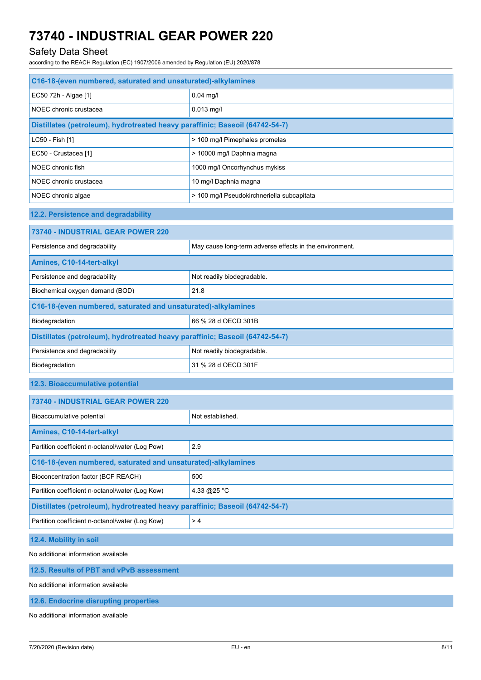## Safety Data Sheet

according to the REACH Regulation (EC) 1907/2006 amended by Regulation (EU) 2020/878

| C16-18-(even numbered, saturated and unsaturated)-alkylamines                |                                                         |
|------------------------------------------------------------------------------|---------------------------------------------------------|
| EC50 72h - Algae [1]                                                         | $0.04$ mg/l                                             |
| NOEC chronic crustacea                                                       | 0.013 mg/l                                              |
| Distillates (petroleum), hydrotreated heavy paraffinic; Baseoil (64742-54-7) |                                                         |
| LC50 - Fish [1]                                                              | > 100 mg/l Pimephales promelas                          |
| EC50 - Crustacea [1]                                                         | > 10000 mg/l Daphnia magna                              |
| NOEC chronic fish                                                            | 1000 mg/l Oncorhynchus mykiss                           |
| NOEC chronic crustacea                                                       | 10 mg/l Daphnia magna                                   |
| NOEC chronic algae                                                           | > 100 mg/l Pseudokirchneriella subcapitata              |
| 12.2. Persistence and degradability                                          |                                                         |
| 73740 - INDUSTRIAL GEAR POWER 220                                            |                                                         |
| Persistence and degradability                                                | May cause long-term adverse effects in the environment. |
| Amines, C10-14-tert-alkyl                                                    |                                                         |
| Persistence and degradability                                                | Not readily biodegradable.                              |
| Biochemical oxygen demand (BOD)                                              | 21.8                                                    |
| C16-18-(even numbered, saturated and unsaturated)-alkylamines                |                                                         |
| Biodegradation                                                               | 66 % 28 d OECD 301B                                     |
| Distillates (petroleum), hydrotreated heavy paraffinic; Baseoil (64742-54-7) |                                                         |
| Persistence and degradability                                                | Not readily biodegradable.                              |
| Biodegradation                                                               | 31 % 28 d OECD 301F                                     |
| 12.3. Bioaccumulative potential                                              |                                                         |
| 73740 - INDUSTRIAL GEAR POWER 220                                            |                                                         |
| Bioaccumulative potential                                                    | Not established.                                        |
| Amines, C10-14-tert-alkyl                                                    |                                                         |
| Partition coefficient n-octanol/water (Log Pow)                              | 2.9                                                     |
| C16-18-(even numbered, saturated and unsaturated)-alkylamines                |                                                         |
| Bioconcentration factor (BCF REACH)                                          | 500                                                     |
| Partition coefficient n-octanol/water (Log Kow)                              | 4.33 @25 °C                                             |
| Distillates (petroleum), hydrotreated heavy paraffinic; Baseoil (64742-54-7) |                                                         |
| Partition coefficient n-octanol/water (Log Kow)                              | >4                                                      |
| 12.4. Mobility in soil                                                       |                                                         |
| No additional information available                                          |                                                         |

## **12.5. Results of PBT and vPvB assessment**

No additional information available

**12.6. Endocrine disrupting properties**

No additional information available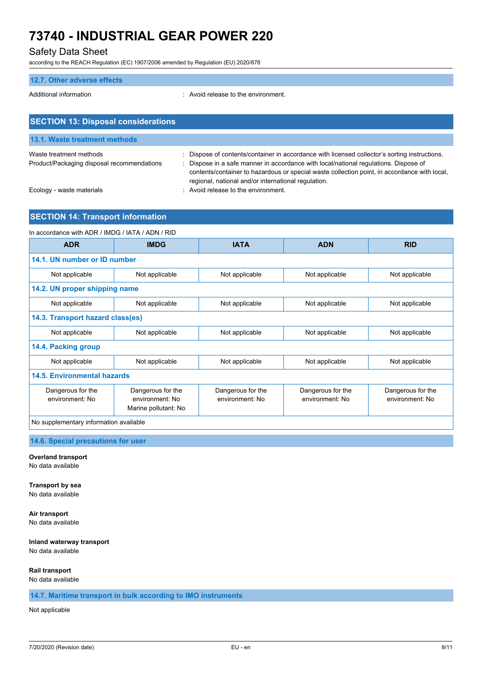## Safety Data Sheet

according to the REACH Regulation (EC) 1907/2006 amended by Regulation (EU) 2020/878

# **12.7. Other adverse effects** Additional information **interest in the environment** of the environment. **SECTION 13: Disposal considerations**

| 13.1. Waste treatment methods                                         |                                                                                                                                                                                                                                                                                                                                            |
|-----------------------------------------------------------------------|--------------------------------------------------------------------------------------------------------------------------------------------------------------------------------------------------------------------------------------------------------------------------------------------------------------------------------------------|
| Waste treatment methods<br>Product/Packaging disposal recommendations | : Dispose of contents/container in accordance with licensed collector's sorting instructions.<br>Dispose in a safe manner in accordance with local/national regulations. Dispose of<br>contents/container to hazardous or special waste collection point, in accordance with local,<br>regional, national and/or international regulation. |
| Ecology - waste materials                                             | : Avoid release to the environment.                                                                                                                                                                                                                                                                                                        |

## **SECTION 14: Transport information**

| In accordance with ADR / IMDG / IATA / ADN / RID |                                                              |                                      |                                      |                                      |
|--------------------------------------------------|--------------------------------------------------------------|--------------------------------------|--------------------------------------|--------------------------------------|
| <b>ADR</b>                                       | <b>IMDG</b>                                                  | <b>IATA</b>                          | <b>ADN</b>                           | <b>RID</b>                           |
| 14.1. UN number or ID number                     |                                                              |                                      |                                      |                                      |
| Not applicable                                   | Not applicable                                               | Not applicable                       | Not applicable                       | Not applicable                       |
| 14.2. UN proper shipping name                    |                                                              |                                      |                                      |                                      |
| Not applicable                                   | Not applicable                                               | Not applicable                       | Not applicable                       | Not applicable                       |
| 14.3. Transport hazard class(es)                 |                                                              |                                      |                                      |                                      |
| Not applicable                                   | Not applicable                                               | Not applicable                       | Not applicable                       | Not applicable                       |
| 14.4. Packing group                              |                                                              |                                      |                                      |                                      |
| Not applicable                                   | Not applicable                                               | Not applicable                       | Not applicable                       | Not applicable                       |
| <b>14.5. Environmental hazards</b>               |                                                              |                                      |                                      |                                      |
| Dangerous for the<br>environment: No             | Dangerous for the<br>environment: No<br>Marine pollutant: No | Dangerous for the<br>environment: No | Dangerous for the<br>environment: No | Dangerous for the<br>environment: No |
| No supplementary information available           |                                                              |                                      |                                      |                                      |

## **14.6. Special precautions for user**

### **Overland transport**

No data available

#### **Transport by sea**

No data available

**Air transport** No data available

## **Inland waterway transport**

No data available

### **Rail transport**

No data available

## **14.7. Maritime transport in bulk according to IMO instruments**

### Not applicable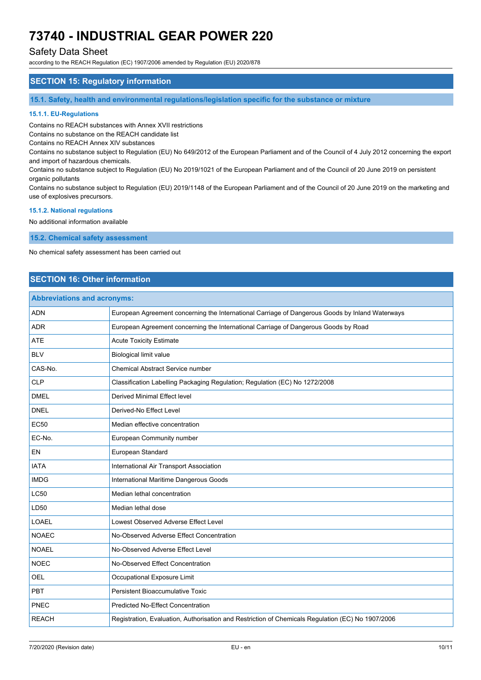## Safety Data Sheet

according to the REACH Regulation (EC) 1907/2006 amended by Regulation (EU) 2020/878

## **SECTION 15: Regulatory information**

**15.1. Safety, health and environmental regulations/legislation specific for the substance or mixture**

#### **15.1.1. EU-Regulations**

Contains no REACH substances with Annex XVII restrictions

Contains no substance on the REACH candidate list

Contains no REACH Annex XIV substances

Contains no substance subject to Regulation (EU) No 649/2012 of the European Parliament and of the Council of 4 July 2012 concerning the export and import of hazardous chemicals.

Contains no substance subject to Regulation (EU) No 2019/1021 of the European Parliament and of the Council of 20 June 2019 on persistent organic pollutants

Contains no substance subject to Regulation (EU) 2019/1148 of the European Parliament and of the Council of 20 June 2019 on the marketing and use of explosives precursors.

#### **15.1.2. National regulations**

No additional information available

**15.2. Chemical safety assessment**

No chemical safety assessment has been carried out

## **SECTION 16: Other information**

| <b>Abbreviations and acronyms:</b> |                                                                                                   |
|------------------------------------|---------------------------------------------------------------------------------------------------|
| <b>ADN</b>                         | European Agreement concerning the International Carriage of Dangerous Goods by Inland Waterways   |
| <b>ADR</b>                         | European Agreement concerning the International Carriage of Dangerous Goods by Road               |
| <b>ATE</b>                         | <b>Acute Toxicity Estimate</b>                                                                    |
| <b>BLV</b>                         | Biological limit value                                                                            |
| CAS-No.                            | Chemical Abstract Service number                                                                  |
| <b>CLP</b>                         | Classification Labelling Packaging Regulation; Regulation (EC) No 1272/2008                       |
| <b>DMEL</b>                        | <b>Derived Minimal Effect level</b>                                                               |
| <b>DNEL</b>                        | Derived-No Effect Level                                                                           |
| <b>EC50</b>                        | Median effective concentration                                                                    |
| EC-No.                             | European Community number                                                                         |
| EN                                 | European Standard                                                                                 |
| <b>IATA</b>                        | International Air Transport Association                                                           |
| <b>IMDG</b>                        | International Maritime Dangerous Goods                                                            |
| <b>LC50</b>                        | Median lethal concentration                                                                       |
| LD50                               | Median lethal dose                                                                                |
| <b>LOAEL</b>                       | Lowest Observed Adverse Effect Level                                                              |
| <b>NOAEC</b>                       | No-Observed Adverse Effect Concentration                                                          |
| <b>NOAEL</b>                       | No-Observed Adverse Effect Level                                                                  |
| <b>NOEC</b>                        | No-Observed Effect Concentration                                                                  |
| <b>OEL</b>                         | Occupational Exposure Limit                                                                       |
| PBT                                | Persistent Bioaccumulative Toxic                                                                  |
| <b>PNEC</b>                        | <b>Predicted No-Effect Concentration</b>                                                          |
| <b>REACH</b>                       | Registration, Evaluation, Authorisation and Restriction of Chemicals Regulation (EC) No 1907/2006 |